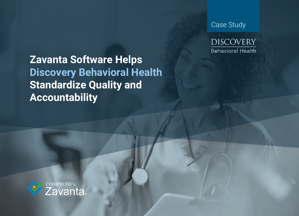**Zavanta Software Helps Discovery Behavioral Health Standardize Quality and Accountability**





**DISCOVERY Behavioral Health**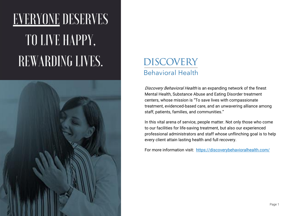# **EVERYONE DESERVES** TO LIVE HAPPY, REWARDING LIVES.



### **DISCOVERY Behavioral Health**

Discovery Behavioral Health is an expanding network of the finest Mental Health, Substance Abuse and Eating Disorder treatment centers, whose mission is "To save lives with compassionate treatment, evidenced-based care, and an unwavering alliance among staff, patients, families, and communities."

For more information visit: <https://discoverybehavioralhealth.com/>

In this vital arena of service, people matter. Not only those who come to our facilities for life-saving treatment, but also our experienced professional administrators and staff whose unflinching goal is to help every client attain lasting health and full recovery.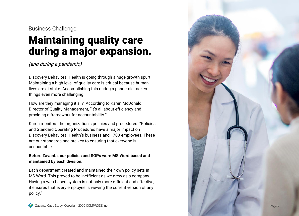## Maintaining quality care during a major expansion.

(and during a pandemic)

Discovery Behavioral Health is going through a huge growth spurt. Maintaining a high level of quality care is critical because human lives are at stake. Accomplishing this during a pandemic makes things even more challenging.

How are they managing it all? According to Karen McDonald, Director of Quality Management, "It's all about efficiency and providing a framework for accountability."

Karen monitors the organization's policies and procedures. "Policies and Standard Operating Procedures have a major impact on Discovery Behavioral Health's business and 1700 employees. These are our standards and are key to ensuring that everyone is accountable.

### **Before Zavanta, our policies and SOPs were MS Word based and maintained by each division.**

Each department created and maintained their own policy sets in MS Word. This proved to be inefficient as we grew as a company. Having a web -based system is not only more efficient and effective, it ensures that every employee is viewing the current version of any policy."



Business Challenge:

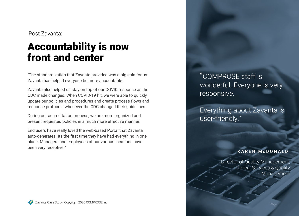## Accountability is now front and center

"The standardization that Zavanta provided was a big gain for us. Zavanta has helped everyone be more accountable.

Zavanta also helped us stay on top of our COVID response as the CDC made changes. When COVID-19 hit, we were able to quickly update our policies and procedures and create process flows and response protocols whenever the CDC changed their guidelines.

During our accreditation process, we are more organized and present requested policies in a much more effective manner.

End users have really loved the web-based Portal that Zavanta auto-generates. Its the first time they have had everything in one place. Managers and employees at our various locations have been very receptive."



Post Zavanta:

### K A R E N M c D O N A L D

Director of Quality Management, Clinical Services & Quality Management

### "COMPROSE staff is wonderful. Everyone is very responsive.

### Everything about Zavanta is user-friendly."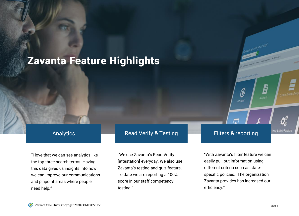"I love that we can see analytics like the top three search terms. Having this data gives us insights into how we can improve our communications and pinpoint areas where people need help."

"We use Zavanta's Read Verify [attestation] everyday. We also use Zavanta's testing and quiz feature. To date we are reporting a 100% score in our staff competency testing."



Zavanta Case Study Copyright 2020 COMPROSE Inc.

### Analytics **Read Verify & Testing Filters & reporting**

Ø

Gel Stated

How can we help you today?

ä

Documents

"With Zavanta's filter feature we can easily pull out information using different criteria such as statespecific policies. The organization Zavanta provides has increased our efficiency."

etoa & Admin Function

### Zavanta Feature Highlights